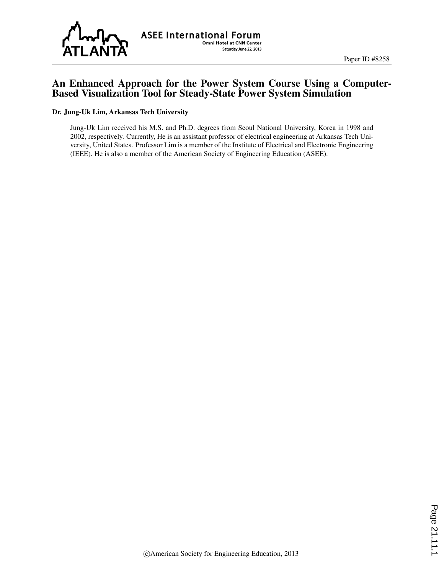

**ASEE International Forum** Omni Hotel at CNN Center Saturday June 22, 2013

# An Enhanced Approach for the Power System Course Using a Computer-Based Visualization Tool for Steady-State Power System Simulation

#### Dr. Jung-Uk Lim, Arkansas Tech University

Jung-Uk Lim received his M.S. and Ph.D. degrees from Seoul National University, Korea in 1998 and 2002, respectively. Currently, He is an assistant professor of electrical engineering at Arkansas Tech University, United States. Professor Lim is a member of the Institute of Electrical and Electronic Engineering (IEEE). He is also a member of the American Society of Engineering Education (ASEE).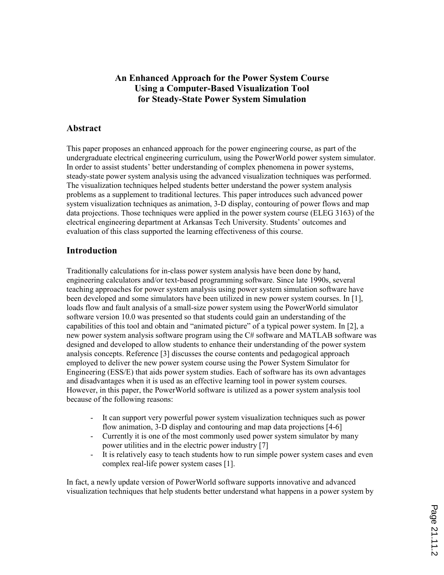# **An Enhanced Approach for the Power System Course Using a Computer-Based Visualization Tool for Steady-State Power System Simulation**

### **Abstract**

This paper proposes an enhanced approach for the power engineering course, as part of the undergraduate electrical engineering curriculum, using the PowerWorld power system simulator. In order to assist students' better understanding of complex phenomena in power systems, steady-state power system analysis using the advanced visualization techniques was performed. The visualization techniques helped students better understand the power system analysis problems as a supplement to traditional lectures. This paper introduces such advanced power system visualization techniques as animation, 3-D display, contouring of power flows and map data projections. Those techniques were applied in the power system course (ELEG 3163) of the electrical engineering department at Arkansas Tech University. Students' outcomes and evaluation of this class supported the learning effectiveness of this course.

### **Introduction**

Traditionally calculations for in-class power system analysis have been done by hand, engineering calculators and/or text-based programming software. Since late 1990s, several teaching approaches for power system analysis using power system simulation software have been developed and some simulators have been utilized in new power system courses. In [1], loads flow and fault analysis of a small-size power system using the PowerWorld simulator software version 10.0 was presented so that students could gain an understanding of the capabilities of this tool and obtain and "animated picture" of a typical power system. In [2], a new power system analysis software program using the C# software and MATLAB software was designed and developed to allow students to enhance their understanding of the power system analysis concepts. Reference [3] discusses the course contents and pedagogical approach employed to deliver the new power system course using the Power System Simulator for Engineering (ESS/E) that aids power system studies. Each of software has its own advantages and disadvantages when it is used as an effective learning tool in power system courses. However, in this paper, the PowerWorld software is utilized as a power system analysis tool because of the following reasons:

- It can support very powerful power system visualization techniques such as power flow animation, 3-D display and contouring and map data projections [4-6]
- Currently it is one of the most commonly used power system simulator by many power utilities and in the electric power industry [7]
- It is relatively easy to teach students how to run simple power system cases and even complex real-life power system cases [1].

In fact, a newly update version of PowerWorld software supports innovative and advanced visualization techniques that help students better understand what happens in a power system by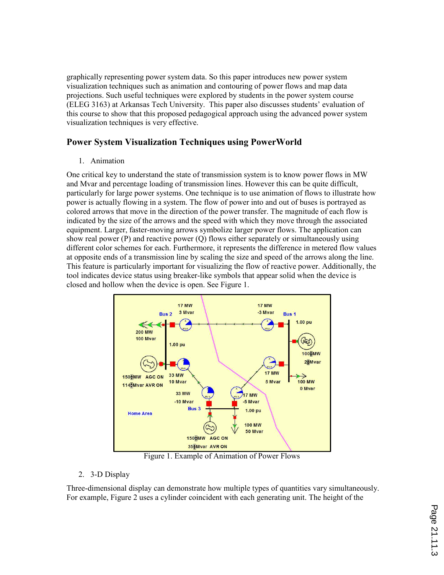graphically representing power system data. So this paper introduces new power system visualization techniques such as animation and contouring of power flows and map data projections. Such useful techniques were explored by students in the power system course (ELEG 3163) at Arkansas Tech University. This paper also discusses students' evaluation of this course to show that this proposed pedagogical approach using the advanced power system visualization techniques is very effective.

## **Power System Visualization Techniques using PowerWorld**

1. Animation

One critical key to understand the state of transmission system is to know power flows in MW and Mvar and percentage loading of transmission lines. However this can be quite difficult, particularly for large power systems. One technique is to use animation of flows to illustrate how power is actually flowing in a system. The flow of power into and out of buses is portrayed as colored arrows that move in the direction of the power transfer. The magnitude of each flow is indicated by the size of the arrows and the speed with which they move through the associated equipment. Larger, faster-moving arrows symbolize larger power flows. The application can show real power (P) and reactive power (Q) flows either separately or simultaneously using different color schemes for each. Furthermore, it represents the difference in metered flow values at opposite ends of a transmission line by scaling the size and speed of the arrows along the line. This feature is particularly important for visualizing the flow of reactive power. Additionally, the tool indicates device status using breaker-like symbols that appear solid when the device is closed and hollow when the device is open. See Figure 1.



Figure 1. Example of Animation of Power Flows

#### 2. 3-D Display

Three-dimensional display can demonstrate how multiple types of quantities vary simultaneously. For example, Figure 2 uses a cylinder coincident with each generating unit. The height of the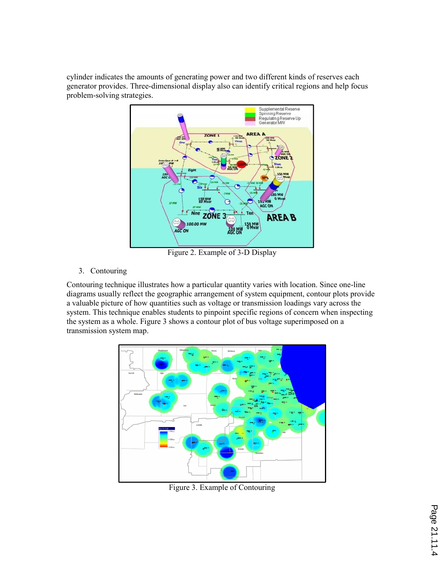cylinder indicates the amounts of generating power and two different kinds of reserves each generator provides. Three-dimensional display also can identify critical regions and help focus problem-solving strategies.



Figure 2. Example of 3-D Display

#### 3. Contouring

Contouring technique illustrates how a particular quantity varies with location. Since one-line diagrams usually reflect the geographic arrangement of system equipment, contour plots provide a valuable picture of how quantities such as voltage or transmission loadings vary across the system. This technique enables students to pinpoint specific regions of concern when inspecting the system as a whole. Figure 3 shows a contour plot of bus voltage superimposed on a transmission system map.



Figure 3. Example of Contouring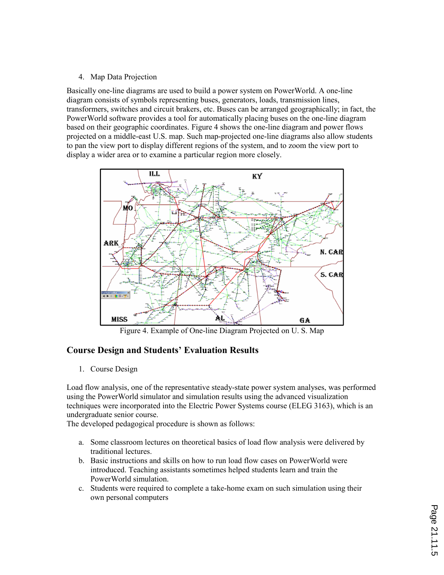#### 4. Map Data Projection

Basically one-line diagrams are used to build a power system on PowerWorld. A one-line diagram consists of symbols representing buses, generators, loads, transmission lines, transformers, switches and circuit brakers, etc. Buses can be arranged geographically; in fact, the PowerWorld software provides a tool for automatically placing buses on the one-line diagram based on their geographic coordinates. Figure 4 shows the one-line diagram and power flows projected on a middle-east U.S. map. Such map-projected one-line diagrams also allow students to pan the view port to display different regions of the system, and to zoom the view port to display a wider area or to examine a particular region more closely.



Figure 4. Example of One-line Diagram Projected on U. S. Map

# **Course Design and Students' Evaluation Results**

1. Course Design

Load flow analysis, one of the representative steady-state power system analyses, was performed using the PowerWorld simulator and simulation results using the advanced visualization techniques were incorporated into the Electric Power Systems course (ELEG 3163), which is an undergraduate senior course. The developed pedagogical procedure is shown as follows:

- a. Some classroom lectures on theoretical basics of load flow analysis were delivered by traditional lectures.
- b. Basic instructions and skills on how to run load flow cases on PowerWorld were introduced. Teaching assistants sometimes helped students learn and train the PowerWorld simulation.
- c. Students were required to complete a take-home exam on such simulation using their own personal computers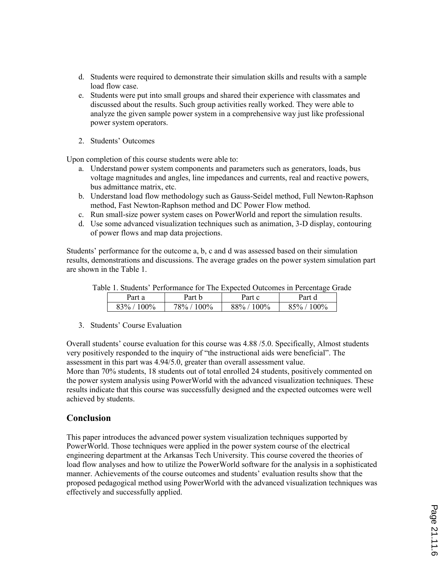- d. Students were required to demonstrate their simulation skills and results with a sample load flow case.
- e. Students were put into small groups and shared their experience with classmates and discussed about the results. Such group activities really worked. They were able to analyze the given sample power system in a comprehensive way just like professional power system operators.
- 2. Students' Outcomes

Upon completion of this course students were able to:

- a. Understand power system components and parameters such as generators, loads, bus voltage magnitudes and angles, line impedances and currents, real and reactive powers, bus admittance matrix, etc.
- b. Understand load flow methodology such as Gauss-Seidel method, Full Newton-Raphson method, Fast Newton-Raphson method and DC Power Flow method.
- c. Run small-size power system cases on PowerWorld and report the simulation results.
- d. Use some advanced visualization techniques such as animation, 3-D display, contouring of power flows and map data projections.

Students' performance for the outcome a, b, c and d was assessed based on their simulation results, demonstrations and discussions. The average grades on the power system simulation part are shown in the Table 1.

|  |  | Table 1. Students' Performance for The Expected Outcomes in Percentage Grade |  |
|--|--|------------------------------------------------------------------------------|--|
|  |  |                                                                              |  |
|  |  |                                                                              |  |

| Part a | Part b  | Part c | Part d |
|--------|---------|--------|--------|
| 100%   | $100\%$ | 100%   | 100%   |
| $93\%$ | 78%     | 88%    | 85%    |

3. Students' Course Evaluation

Overall students' course evaluation for this course was 4.88 /5.0. Specifically, Almost students very positively responded to the inquiry of "the instructional aids were beneficial". The

assessment in this part was 4.94/5.0, greater than overall assessment value. More than 70% students, 18 students out of total enrolled 24 students, positively commented on the power system analysis using PowerWorld with the advanced visualization techniques. These results indicate that this course was successfully designed and the expected outcomes were well achieved by students.

### **Conclusion**

This paper introduces the advanced power system visualization techniques supported by PowerWorld. Those techniques were applied in the power system course of the electrical engineering department at the Arkansas Tech University. This course covered the theories of load flow analyses and how to utilize the PowerWorld software for the analysis in a sophisticated manner. Achievements of the course outcomes and students' evaluation results show that the proposed pedagogical method using PowerWorld with the advanced visualization techniques was effectively and successfully applied.